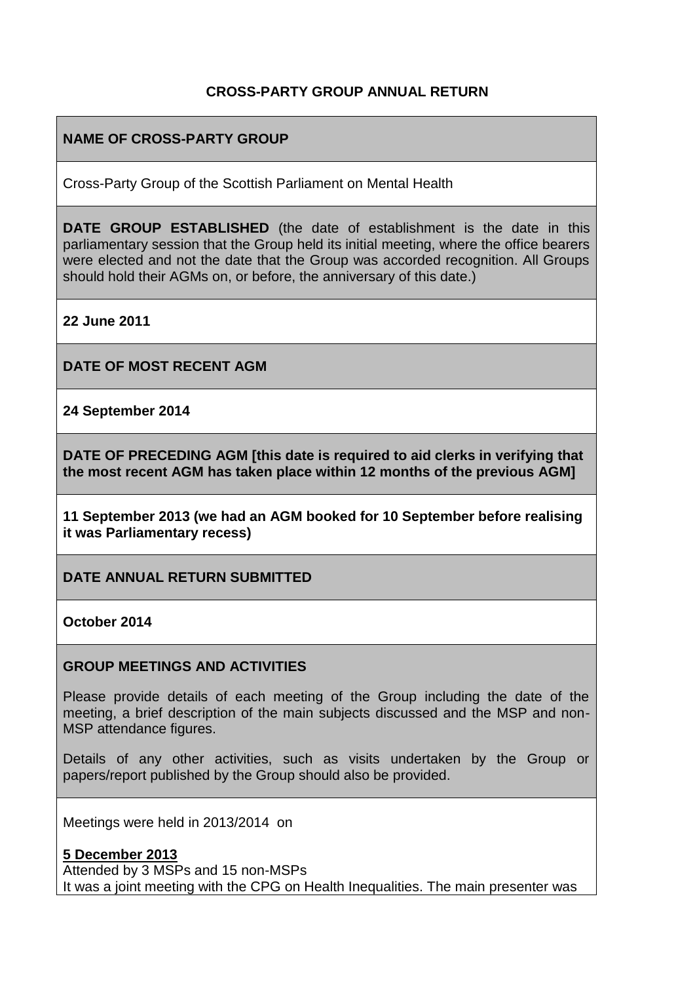## **CROSS-PARTY GROUP ANNUAL RETURN**

#### **NAME OF CROSS-PARTY GROUP**

Cross-Party Group of the Scottish Parliament on Mental Health

**DATE GROUP ESTABLISHED** (the date of establishment is the date in this parliamentary session that the Group held its initial meeting, where the office bearers were elected and not the date that the Group was accorded recognition. All Groups should hold their AGMs on, or before, the anniversary of this date.)

**22 June 2011** 

**DATE OF MOST RECENT AGM**

**24 September 2014** 

**DATE OF PRECEDING AGM [this date is required to aid clerks in verifying that the most recent AGM has taken place within 12 months of the previous AGM]**

**11 September 2013 (we had an AGM booked for 10 September before realising it was Parliamentary recess)** 

**DATE ANNUAL RETURN SUBMITTED**

**October 2014** 

#### **GROUP MEETINGS AND ACTIVITIES**

Please provide details of each meeting of the Group including the date of the meeting, a brief description of the main subjects discussed and the MSP and non-MSP attendance figures.

Details of any other activities, such as visits undertaken by the Group or papers/report published by the Group should also be provided.

Meetings were held in 2013/2014 on

**5 December 2013**  Attended by 3 MSPs and 15 non-MSPs It was a joint meeting with the CPG on Health Inequalities. The main presenter was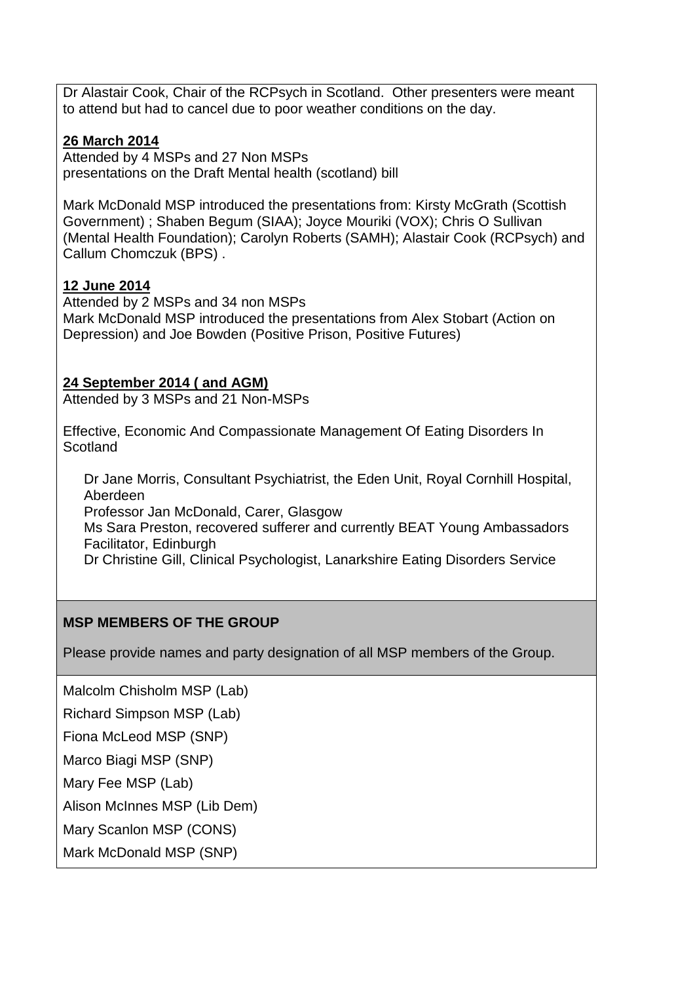Dr Alastair Cook, Chair of the RCPsych in Scotland. Other presenters were meant to attend but had to cancel due to poor weather conditions on the day.

## **26 March 2014**

Attended by 4 MSPs and 27 Non MSPs presentations on the Draft Mental health (scotland) bill

Mark McDonald MSP introduced the presentations from: Kirsty McGrath (Scottish Government) ; Shaben Begum (SIAA); Joyce Mouriki (VOX); Chris O Sullivan (Mental Health Foundation); Carolyn Roberts (SAMH); Alastair Cook (RCPsych) and Callum Chomczuk (BPS) .

## **12 June 2014**

Attended by 2 MSPs and 34 non MSPs Mark McDonald MSP introduced the presentations from Alex Stobart (Action on Depression) and Joe Bowden (Positive Prison, Positive Futures)

## **24 September 2014 ( and AGM)**

Attended by 3 MSPs and 21 Non-MSPs

Effective, Economic And Compassionate Management Of Eating Disorders In Scotland

Dr Jane Morris, Consultant Psychiatrist, the Eden Unit, Royal Cornhill Hospital, Aberdeen Professor Jan McDonald, Carer, Glasgow Ms Sara Preston, recovered sufferer and currently BEAT Young Ambassadors Facilitator, Edinburgh Dr Christine Gill, Clinical Psychologist, Lanarkshire Eating Disorders Service

## **MSP MEMBERS OF THE GROUP**

Please provide names and party designation of all MSP members of the Group.

Malcolm Chisholm MSP (Lab)

Richard Simpson MSP (Lab)

Fiona McLeod MSP (SNP)

Marco Biagi MSP (SNP)

Mary Fee MSP (Lab)

Alison McInnes MSP (Lib Dem)

Mary Scanlon MSP (CONS)

Mark McDonald MSP (SNP)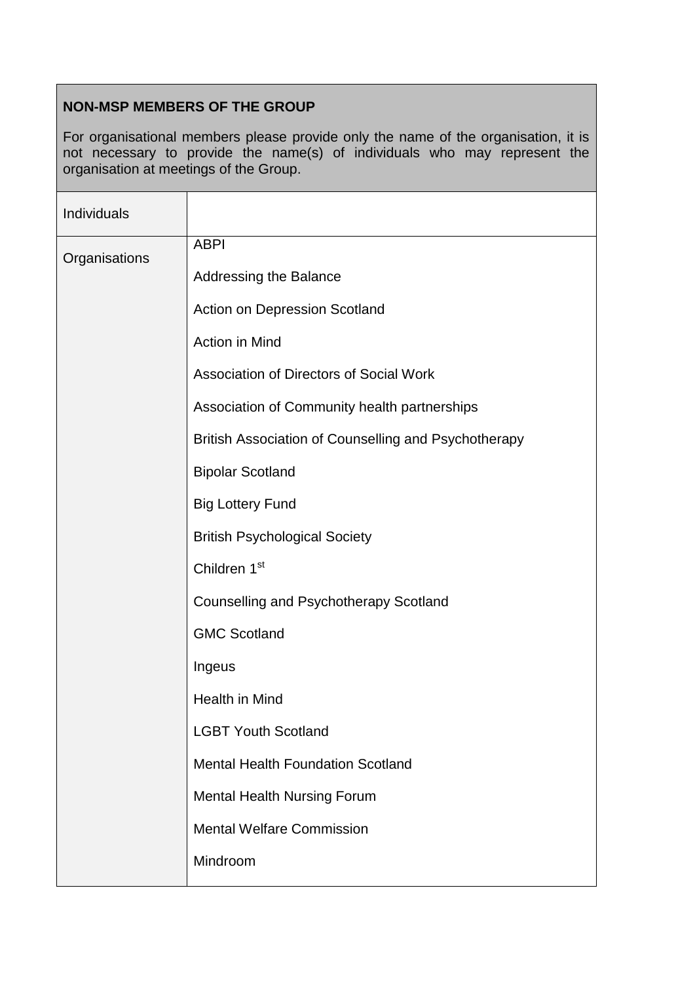## **NON-MSP MEMBERS OF THE GROUP**

For organisational members please provide only the name of the organisation, it is not necessary to provide the name(s) of individuals who may represent the organisation at meetings of the Group.

| Individuals   |                                                      |
|---------------|------------------------------------------------------|
| Organisations | <b>ABPI</b>                                          |
|               | <b>Addressing the Balance</b>                        |
|               | Action on Depression Scotland                        |
|               | Action in Mind                                       |
|               | Association of Directors of Social Work              |
|               | Association of Community health partnerships         |
|               | British Association of Counselling and Psychotherapy |
|               | <b>Bipolar Scotland</b>                              |
|               | <b>Big Lottery Fund</b>                              |
|               | <b>British Psychological Society</b>                 |
|               | Children 1 <sup>st</sup>                             |
|               | <b>Counselling and Psychotherapy Scotland</b>        |
|               | <b>GMC Scotland</b>                                  |
|               | Ingeus                                               |
|               | Health in Mind                                       |
|               | <b>LGBT Youth Scotland</b>                           |
|               | <b>Mental Health Foundation Scotland</b>             |
|               | <b>Mental Health Nursing Forum</b>                   |
|               | <b>Mental Welfare Commission</b>                     |
|               | Mindroom                                             |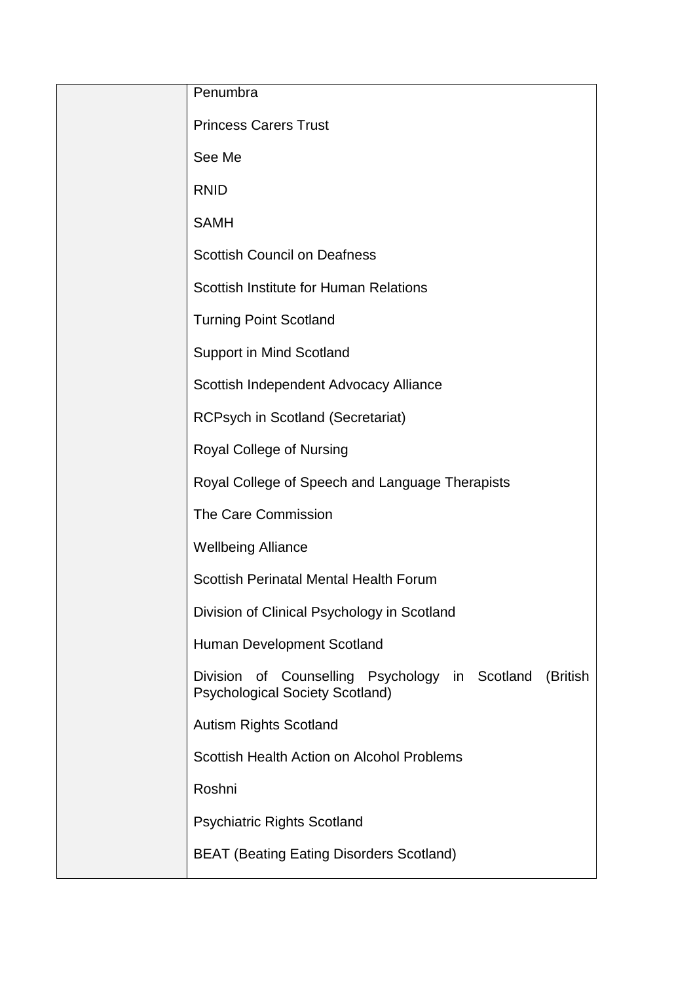| Penumbra                                                                                                          |
|-------------------------------------------------------------------------------------------------------------------|
| <b>Princess Carers Trust</b>                                                                                      |
| See Me                                                                                                            |
| <b>RNID</b>                                                                                                       |
| <b>SAMH</b>                                                                                                       |
| <b>Scottish Council on Deafness</b>                                                                               |
| Scottish Institute for Human Relations                                                                            |
| <b>Turning Point Scotland</b>                                                                                     |
| <b>Support in Mind Scotland</b>                                                                                   |
| Scottish Independent Advocacy Alliance                                                                            |
| <b>RCPsych in Scotland (Secretariat)</b>                                                                          |
| Royal College of Nursing                                                                                          |
| Royal College of Speech and Language Therapists                                                                   |
| The Care Commission                                                                                               |
| <b>Wellbeing Alliance</b>                                                                                         |
| Scottish Perinatal Mental Health Forum                                                                            |
| Division of Clinical Psychology in Scotland                                                                       |
| Human Development Scotland                                                                                        |
| Counselling Psychology in Scotland<br><b>Division</b><br>(British<br>of<br><b>Psychological Society Scotland)</b> |
| <b>Autism Rights Scotland</b>                                                                                     |
| Scottish Health Action on Alcohol Problems                                                                        |
| Roshni                                                                                                            |
| <b>Psychiatric Rights Scotland</b>                                                                                |
| <b>BEAT (Beating Eating Disorders Scotland)</b>                                                                   |
|                                                                                                                   |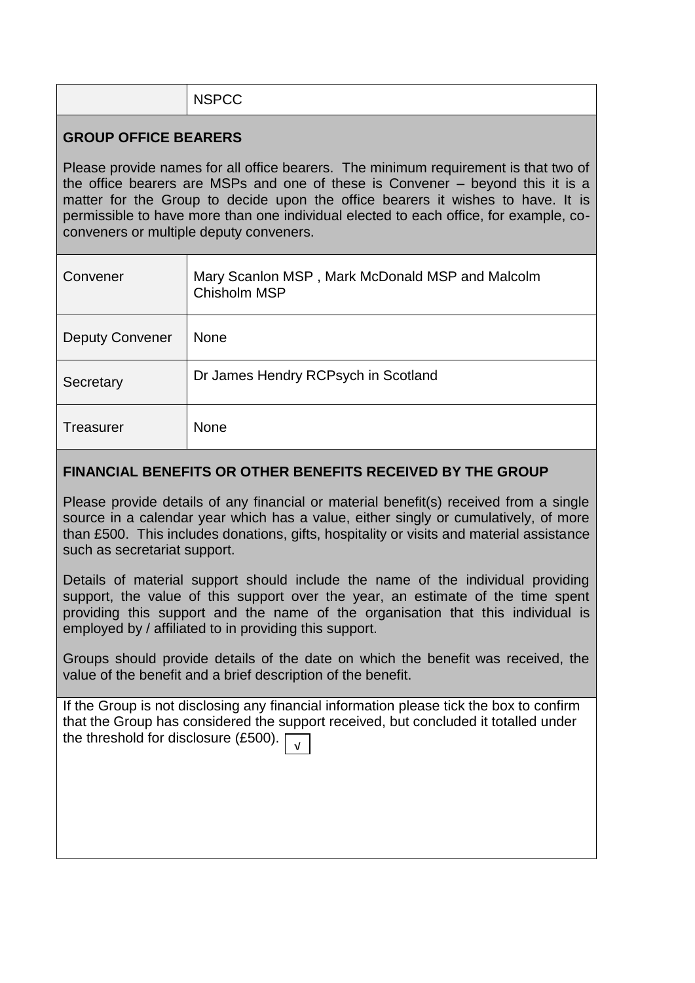# NSPCC

## **GROUP OFFICE BEARERS**

Please provide names for all office bearers. The minimum requirement is that two of the office bearers are MSPs and one of these is Convener – beyond this it is a matter for the Group to decide upon the office bearers it wishes to have. It is permissible to have more than one individual elected to each office, for example, coconveners or multiple deputy conveners.

| Convener               | Mary Scanlon MSP, Mark McDonald MSP and Malcolm<br>Chisholm MSP |
|------------------------|-----------------------------------------------------------------|
| <b>Deputy Convener</b> | <b>None</b>                                                     |
| Secretary              | Dr James Hendry RCPsych in Scotland                             |
| <b>Treasurer</b>       | <b>None</b>                                                     |

## **FINANCIAL BENEFITS OR OTHER BENEFITS RECEIVED BY THE GROUP**

Please provide details of any financial or material benefit(s) received from a single source in a calendar year which has a value, either singly or cumulatively, of more than £500. This includes donations, gifts, hospitality or visits and material assistance such as secretariat support.

Details of material support should include the name of the individual providing support, the value of this support over the year, an estimate of the time spent providing this support and the name of the organisation that this individual is employed by / affiliated to in providing this support.

Groups should provide details of the date on which the benefit was received, the value of the benefit and a brief description of the benefit.

If the Group is not disclosing any financial information please tick the box to confirm that the Group has considered the support received, but concluded it totalled under the threshold for disclosure (£500).